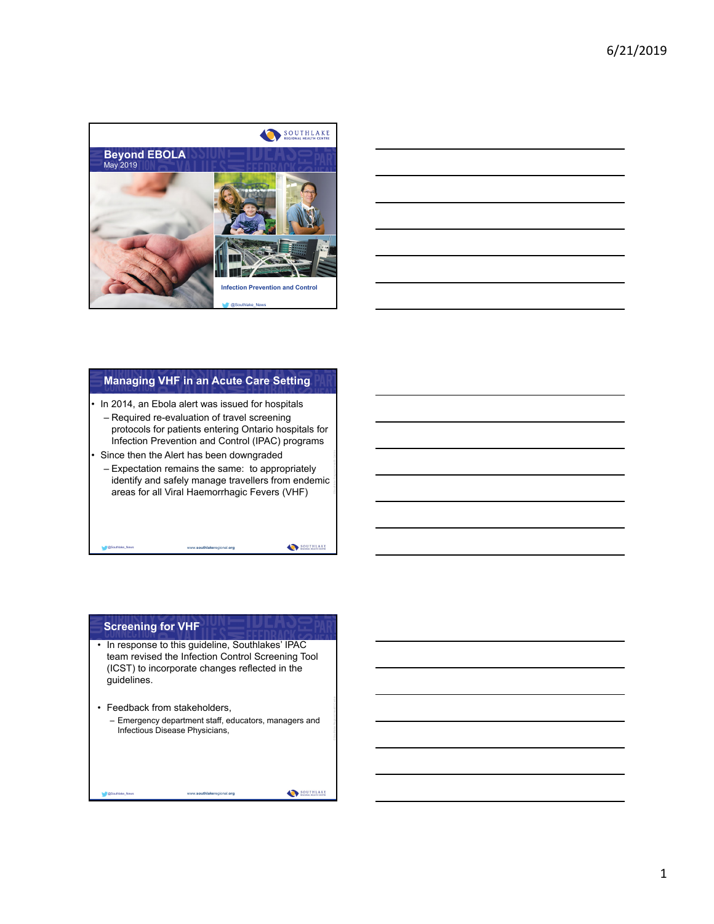



## **Managing VHF in an Acute Care Setting**

In 2014, an Ebola alert was issued for hospitals

- Required re-evaluation of travel screening protocols for patients entering Ontario hospitals for Infection Prevention and Control (IPAC) programs
- Since then the Alert has been downgraded

@Southlake\_News www.**southlake**regional.**org**

– Expectation remains the same: to appropriately identify and safely manage travellers from endemic areas for all Viral Haemorrhagic Fevers (VHF)

SOUTHLAKE

#### **Screening for VHF**

- In response to this guideline, Southlakes' IPAC team revised the Infection Control Screening Tool (ICST) to incorporate changes reflected in the guidelines.
- Feedback from stakeholders,

– Emergency department staff, educators, managers and Infectious Disease Physicians,

@Southlake\_News www.**southlake**regional.**org**

SOUTHLAKE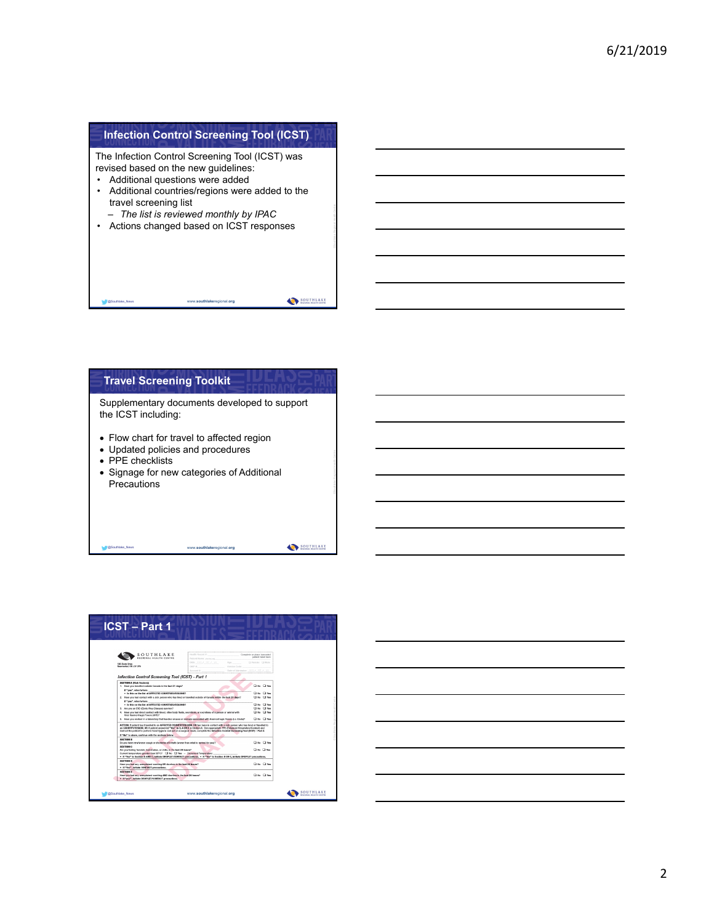### **Infection Control Screening Tool (ICST)**

The Infection Control Screening Tool (ICST) was revised based on the new guidelines:

- Additional questions were added
- Additional countries/regions were added to the travel screening list
- *The list is reviewed monthly by IPAC*
- Actions changed based on ICST responses

#### **Travel Screening Toolkit**

@Southlake\_News www.**southlake**regional.**org**

Supplementary documents developed to support the ICST including:

- Flow chart for travel to affected region
- Updated policies and procedures

@Southlake\_News www.**southlake**regional.**org**

- PPE checklists
- Signage for new categories of Additional **Precautions**

SOUTHLAKE

SOUTHLAKE



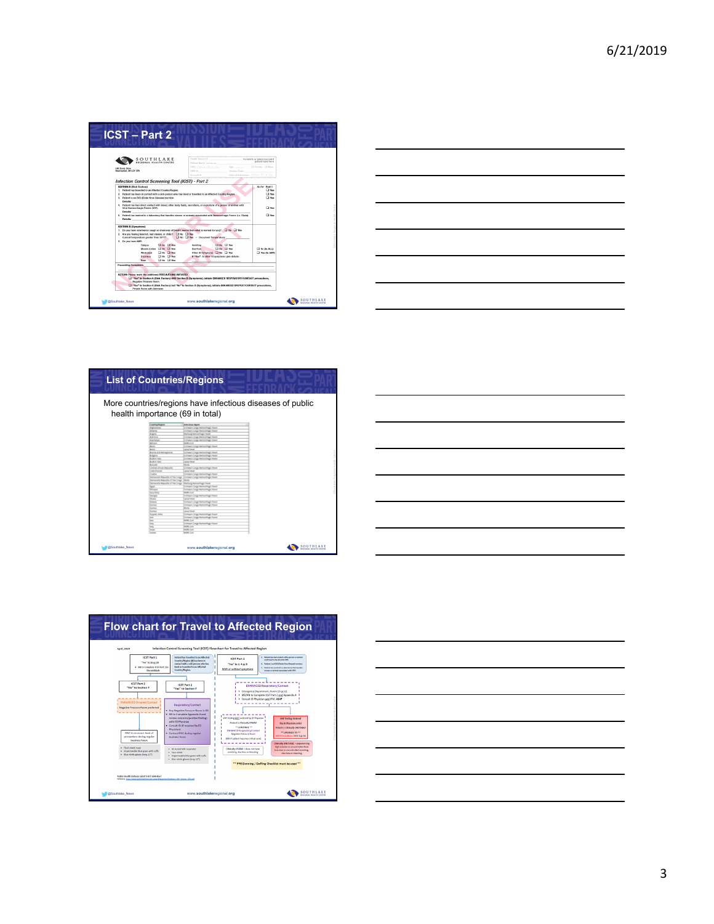| Policett Harrott process, and                                     |                                        | patient label tere                                                                                                                                                                                                                                                                                                                                                                                                                                                                                                                                                                                                                         |                                 |
|-------------------------------------------------------------------|----------------------------------------|--------------------------------------------------------------------------------------------------------------------------------------------------------------------------------------------------------------------------------------------------------------------------------------------------------------------------------------------------------------------------------------------------------------------------------------------------------------------------------------------------------------------------------------------------------------------------------------------------------------------------------------------|---------------------------------|
| post mm r dd r vv<br><b>OHP D</b><br>Accessed Br.                 | Age: I Ferrale I Male<br>Version Dade: |                                                                                                                                                                                                                                                                                                                                                                                                                                                                                                                                                                                                                                            |                                 |
| <b>Infection Control Screening Tool (ICST) - Part 2</b>           |                                        |                                                                                                                                                                                                                                                                                                                                                                                                                                                                                                                                                                                                                                            |                                 |
|                                                                   |                                        | As Per Part 1<br><b>D</b> Yes<br><b>D</b> Yes<br><b>CI Yes</b>                                                                                                                                                                                                                                                                                                                                                                                                                                                                                                                                                                             |                                 |
|                                                                   |                                        | <b>TT</b> Yes                                                                                                                                                                                                                                                                                                                                                                                                                                                                                                                                                                                                                              |                                 |
|                                                                   |                                        | <b>CI You</b>                                                                                                                                                                                                                                                                                                                                                                                                                                                                                                                                                                                                                              |                                 |
| 2. Are you feeling feverish, had shakes, or chilic? [3 No [3] Yes |                                        |                                                                                                                                                                                                                                                                                                                                                                                                                                                                                                                                                                                                                                            |                                 |
| Vomiting<br>Diarrhea                                              |                                        | $\Box$ No (to ALL)<br>The do ANY                                                                                                                                                                                                                                                                                                                                                                                                                                                                                                                                                                                                           |                                 |
|                                                                   |                                        |                                                                                                                                                                                                                                                                                                                                                                                                                                                                                                                                                                                                                                            |                                 |
|                                                                   |                                        | 2. Patient has been in contact with a sick person who has lived or travelled to an Affected Country-Region.<br>4. Podent has had direct contact with blood, other body fluids, secretions, or expretions of a person or animal with<br>5. Patient has worked in a laboratory that handles viruses or onimals associated with Haemorrhapic Fevers (i.e. Ebola).<br>1. De you have new/worse cough or shortness of breath (worse than what is normal for you)? [ ]] No [ ] Yes<br>16 ID Yes - Document Temperature:<br><b>CING CITES</b><br><b>DING DIYES</b><br>Other G Symptoms C No C Yes<br>If "Yes", to other GI symptoms give details: | Date of Admission: mm / dd / VV |



|                                                                              | <b>List of Countries/Regions</b>                                                                                                               |                                                           |
|------------------------------------------------------------------------------|------------------------------------------------------------------------------------------------------------------------------------------------|-----------------------------------------------------------|
|                                                                              |                                                                                                                                                |                                                           |
|                                                                              |                                                                                                                                                | More countries/regions have infectious diseases of public |
|                                                                              |                                                                                                                                                |                                                           |
|                                                                              | health importance (69 in total)                                                                                                                |                                                           |
|                                                                              |                                                                                                                                                |                                                           |
| Country/Hegion                                                               | Infectious Agent                                                                                                                               |                                                           |
| Afghenister                                                                  | Crimean-Congo Herschfugic Fever                                                                                                                |                                                           |
| Albertia                                                                     | Crimean-Congo Hemontagic Fever                                                                                                                 |                                                           |
| Angola                                                                       | Marburg Hernonhugic Fever                                                                                                                      |                                                           |
| Ammma                                                                        | Crimean-Congo Hernomhagic Fever                                                                                                                |                                                           |
| Aperbaila                                                                    | Crimean-Congo Hernomhagic Fever                                                                                                                |                                                           |
| kenn                                                                         | <b>NSRS-Cote</b>                                                                                                                               |                                                           |
| Bergin                                                                       | Crimean-Congo Hernomhagic Fever                                                                                                                |                                                           |
| <b>Benit</b>                                                                 | Jessi Feve                                                                                                                                     |                                                           |
| Acesa and restragacita                                                       | Crimean-Congo Hernomhagic Fever                                                                                                                |                                                           |
| <b>Bulgata</b>                                                               | Crimean-Congo Herschflagic Fever                                                                                                               |                                                           |
| <b>Burkins Fasc</b>                                                          | Crimean-Congo Herschflagic Fever                                                                                                               |                                                           |
| <b>Burkins Fasc</b>                                                          | Jessa Fesser                                                                                                                                   |                                                           |
| keyed                                                                        | <b>Dolla</b>                                                                                                                                   |                                                           |
| <b>Central African Republic</b>                                              | Crimean-Congo Hernomhagic Fever                                                                                                                |                                                           |
| <b>Lote d'Ivoire</b>                                                         | assa Fever                                                                                                                                     |                                                           |
| <b>Croatia</b>                                                               | Crimean-Congo Herikonhagic Fever                                                                                                               |                                                           |
|                                                                              | bemocratic Republic of the Congo (Crimean-Congo Herkonhagic Fever                                                                              |                                                           |
| bemocratic Aepublic of the Congo (tibola-                                    |                                                                                                                                                |                                                           |
|                                                                              | Democratic Republic of the Congo (Marburg Hemorrhage) Fever                                                                                    |                                                           |
| test                                                                         | Crimean-Congo memorihagic Fewer                                                                                                                |                                                           |
| <b>Those</b>                                                                 | Crimean-Congo Hernonhagic Fever                                                                                                                |                                                           |
| Deca Strip                                                                   | MERS-COV                                                                                                                                       |                                                           |
| beinga                                                                       | Crimean-Congo Herschiftugs: Fever                                                                                                              |                                                           |
| Chang                                                                        | Letta Figure                                                                                                                                   |                                                           |
| Oregon                                                                       | Crimean-Congo Hamonhagic Fexer                                                                                                                 |                                                           |
| Outrea                                                                       | Crimean-Congo Hamonhagic Fever                                                                                                                 |                                                           |
| During                                                                       | <b>ISM's</b>                                                                                                                                   |                                                           |
| During<br>Quiarat, India                                                     | <b>Jesse Panner</b>                                                                                                                            |                                                           |
| <b>Ingel</b>                                                                 | Crimean-Corgo Herechtugic Fever                                                                                                                |                                                           |
|                                                                              |                                                                                                                                                |                                                           |
|                                                                              |                                                                                                                                                |                                                           |
|                                                                              |                                                                                                                                                |                                                           |
|                                                                              |                                                                                                                                                |                                                           |
|                                                                              |                                                                                                                                                |                                                           |
| <b>Harry</b><br><b>Han</b><br><b>Harry</b><br><b>Senato</b><br><b>Janfan</b> | Crimean-Congo Hamonhagic Fever<br><b>NESS CITY</b><br>Crimean Coran Hamonhagic Faxas<br><b>NEEL CIT</b><br><b>MERS-CHY</b><br><b>NEEL CITY</b> |                                                           |





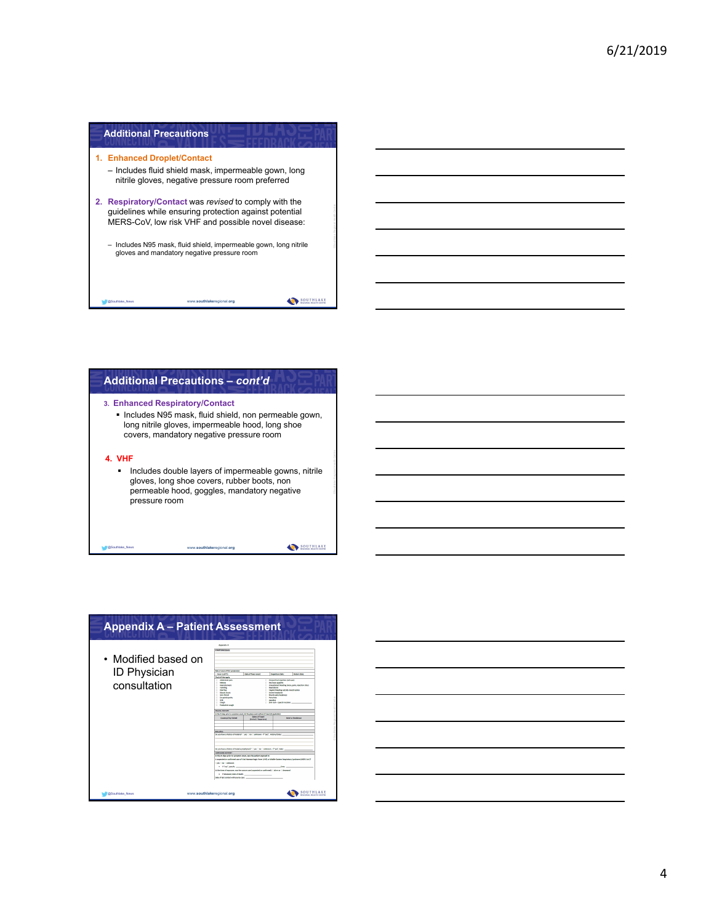| <b>Additional Precautions</b>                                                                                                                                         |
|-----------------------------------------------------------------------------------------------------------------------------------------------------------------------|
| 1. Enhanced Droplet/Contact<br>- Includes fluid shield mask, impermeable gown, long<br>nitrile gloves, negative pressure room preferred                               |
| 2. Respiratory/Contact was revised to comply with the<br>quidelines while ensuring protection against potential<br>MERS-CoV, low risk VHF and possible novel disease: |
| - Includes N95 mask, fluid shield, impermeable gown, long nitrile<br>gloves and mandatory negative pressure room                                                      |
| www.southlakeregional.org<br><b>@Southlake News</b>                                                                                                                   |





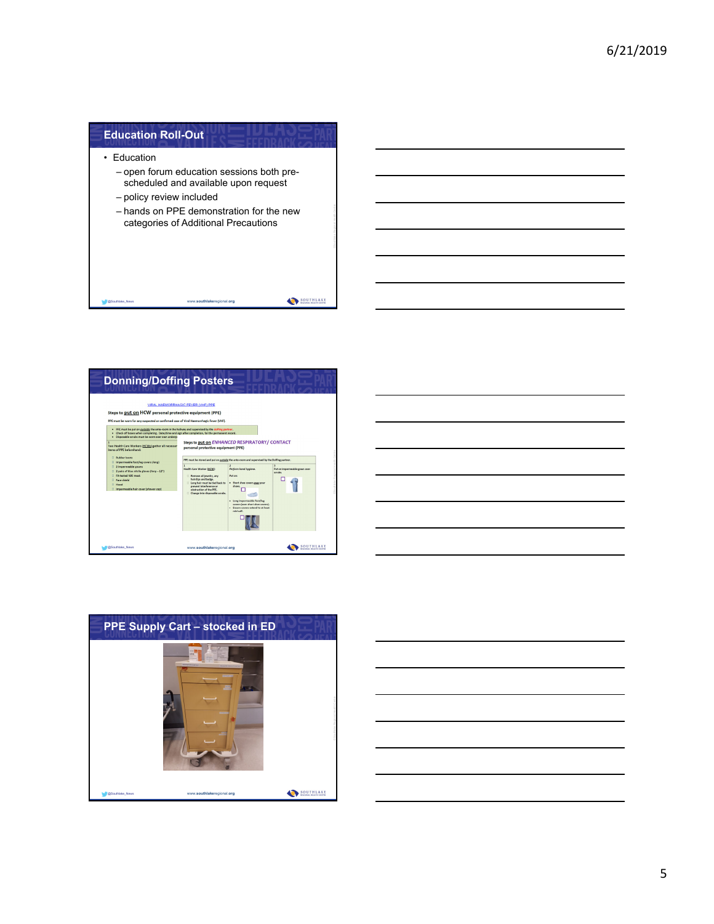| <b>Education Roll-Out</b>               |                                                                                                                                                                       |  |
|-----------------------------------------|-----------------------------------------------------------------------------------------------------------------------------------------------------------------------|--|
| • Fducation<br>- policy review included | - open forum education sessions both pre-<br>scheduled and available upon request<br>- hands on PPE demonstration for the new<br>categories of Additional Precautions |  |
| @Southlake News                         | www.southlakeregional.org                                                                                                                                             |  |